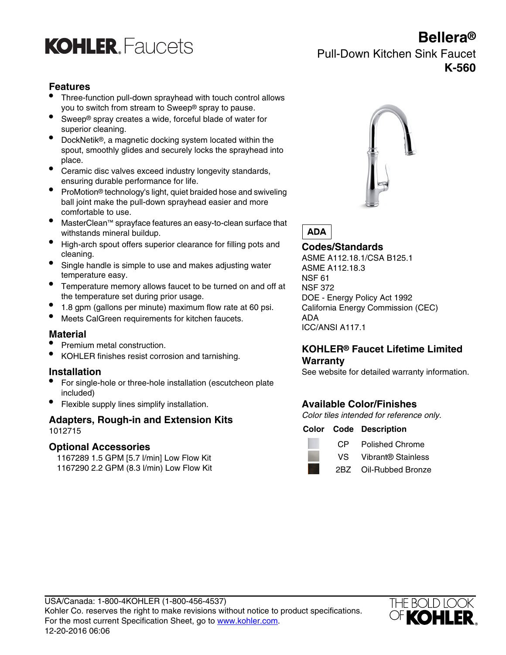

# **Bellera®** Pull-Down Kitchen Sink Faucet **K-560**

## **Features**

- Three-function pull-down sprayhead with touch control allows you to switch from stream to Sweep® spray to pause.
- Sweep® spray creates a wide, forceful blade of water for superior cleaning.
- DockNetik®, a magnetic docking system located within the spout, smoothly glides and securely locks the sprayhead into place.
- Ceramic disc valves exceed industry longevity standards, ensuring durable performance for life.
- ProMotion® technology's light, quiet braided hose and swiveling ball joint make the pull-down sprayhead easier and more comfortable to use.
- MasterClean™ sprayface features an easy-to-clean surface that withstands mineral buildup.
- High-arch spout offers superior clearance for filling pots and cleaning.
- Single handle is simple to use and makes adjusting water temperature easy.
- Temperature memory allows faucet to be turned on and off at the temperature set during prior usage.
- 1.8 gpm (gallons per minute) maximum flow rate at 60 psi. California Energy Commission (CEC)
- Meets CalGreen requirements for kitchen faucets. ADA

### **Material**

- 
- KOHLER finishes resist corrosion and tarnishing.

- For single-hole or three-hole installation (escutcheon plate included)
- Flexible supply lines simplify installation. **Available Color/Finishes**

# **Adapters, Rough-in and Extension Kits** Color tiles intended for reference only. 1012715 **Color Code Description**

### **Optional Accessories**

1167289 1.5 GPM [5.7 l/min] Low Flow Kit 1167290 2.2 GPM (8.3 l/min) Low Flow Kit



**ADA** 

**Codes/Standards** ASME A112.18.1/CSA B125.1 ASME A112.18.3 NSF 61 NSF 372 DOE - Energy Policy Act 1992 ICC/ANSI A117.1

# • Premium metal construction. **KOHLER® Faucet Lifetime Limited Warranty**

**Installation Installation** See website for detailed warranty information.

|  |  | <b>Color Code Description</b> |
|--|--|-------------------------------|
|--|--|-------------------------------|



- CP Polished Chrome
- VS Vibrant® Stainless
- 2BZ Oil-Rubbed Bronze